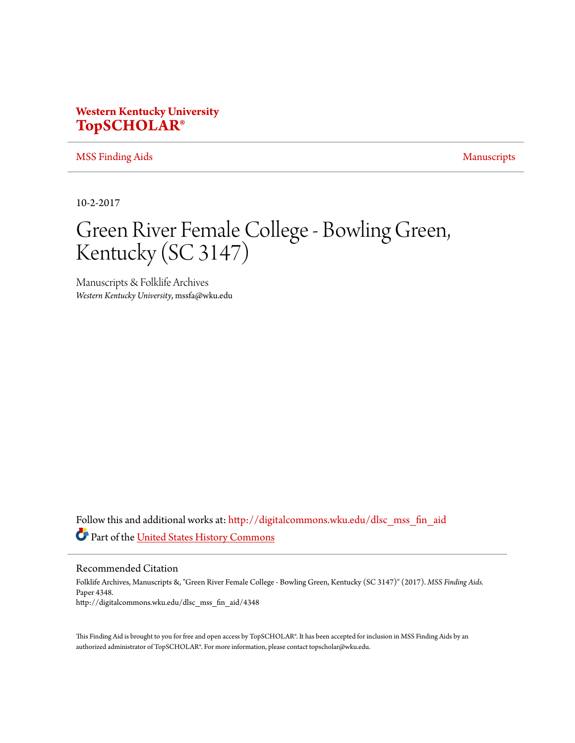# **Western Kentucky University [TopSCHOLAR®](http://digitalcommons.wku.edu?utm_source=digitalcommons.wku.edu%2Fdlsc_mss_fin_aid%2F4348&utm_medium=PDF&utm_campaign=PDFCoverPages)**

[MSS Finding Aids](http://digitalcommons.wku.edu/dlsc_mss_fin_aid?utm_source=digitalcommons.wku.edu%2Fdlsc_mss_fin_aid%2F4348&utm_medium=PDF&utm_campaign=PDFCoverPages) [Manuscripts](http://digitalcommons.wku.edu/dlsc_mss?utm_source=digitalcommons.wku.edu%2Fdlsc_mss_fin_aid%2F4348&utm_medium=PDF&utm_campaign=PDFCoverPages) Manuscripts

10-2-2017

# Green River Female College - Bowling Green, Kentucky (SC 3147)

Manuscripts & Folklife Archives *Western Kentucky University*, mssfa@wku.edu

Follow this and additional works at: [http://digitalcommons.wku.edu/dlsc\\_mss\\_fin\\_aid](http://digitalcommons.wku.edu/dlsc_mss_fin_aid?utm_source=digitalcommons.wku.edu%2Fdlsc_mss_fin_aid%2F4348&utm_medium=PDF&utm_campaign=PDFCoverPages) Part of the [United States History Commons](https://network.bepress.com/hgg/discipline/495?utm_source=digitalcommons.wku.edu%2Fdlsc_mss_fin_aid%2F4348&utm_medium=PDF&utm_campaign=PDFCoverPages)

Recommended Citation

Folklife Archives, Manuscripts &, "Green River Female College - Bowling Green, Kentucky (SC 3147)" (2017). *MSS Finding Aids.* Paper 4348. http://digitalcommons.wku.edu/dlsc\_mss\_fin\_aid/4348

This Finding Aid is brought to you for free and open access by TopSCHOLAR®. It has been accepted for inclusion in MSS Finding Aids by an authorized administrator of TopSCHOLAR®. For more information, please contact topscholar@wku.edu.